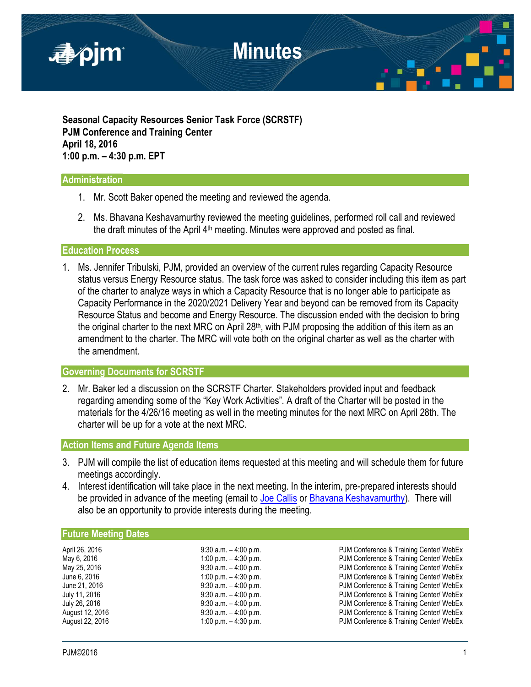

**Seasonal Capacity Resources Senior Task Force (SCRSTF) PJM Conference and Training Center April 18, 2016 1:00 p.m. – 4:30 p.m. EPT**

## **Administration**

- 1. Mr. Scott Baker opened the meeting and reviewed the agenda.
- 2. Ms. Bhavana Keshavamurthy reviewed the meeting guidelines, performed roll call and reviewed the draft minutes of the April  $4<sup>th</sup>$  meeting. Minutes were approved and posted as final.

### **Education Process**

1. Ms. Jennifer Tribulski, PJM, provided an overview of the current rules regarding Capacity Resource status versus Energy Resource status. The task force was asked to consider including this item as part of the charter to analyze ways in which a Capacity Resource that is no longer able to participate as Capacity Performance in the 2020/2021 Delivery Year and beyond can be removed from its Capacity Resource Status and become and Energy Resource. The discussion ended with the decision to bring the original charter to the next MRC on April  $28<sup>th</sup>$ , with PJM proposing the addition of this item as an amendment to the charter. The MRC will vote both on the original charter as well as the charter with the amendment.

## **Governing Documents for SCRSTF**

2. Mr. Baker led a discussion on the SCRSTF Charter. Stakeholders provided input and feedback regarding amending some of the "Key Work Activities". A draft of the Charter will be posted in the materials for the 4/26/16 meeting as well in the meeting minutes for the next MRC on April 28th. The charter will be up for a vote at the next MRC.

## **Action Items and Future Agenda Items**

- 3. PJM will compile the list of education items requested at this meeting and will schedule them for future meetings accordingly.
- 4. Interest identification will take place in the next meeting. In the interim, pre-prepared interests should be provided in advance of the meeting (email to [Joe Callis](mailto:Joseph.Callis@pjm.com?subject=SCRSTF%20Stakeholder%20interests) or [Bhavana Keshavamurthy\)](mailto:Bhavana.Murthy@pjm.com?subject=SCRSTF%20Stakeholder%20interests). There will also be an opportunity to provide interests during the meeting.

## **Future Meeting Dates**

| April 26, 2016  |
|-----------------|
| May 6, 2016     |
| May 25, 2016    |
| June 6, 2016    |
| June 21, 2016   |
| July 11, 2016   |
| July 26, 2016   |
| August 12, 2016 |
| August 22, 2016 |

9:30 a.m. – 4:00 p.m. example and pull 2016 PJM Conference & Training Center/ WebEx 1:00 p.m. - 4:30 p.m. CONFERENCE BUM Conference & Training Center/ WebEx 9:30 a.m. – 4:00 p.m. The May 25, 2016 PJM Conference & Training Center/ WebEx 1:00 p.m. – 4:30 p.m.<br>
9:30 a.m. – 4:00 p.m.<br>
PJM Conference & Training Center/ WebEx PJM Conference & Training Center/ WebEx 9:30 a.m. - 4:00 p.m. The PJM Conference & Training Center/ WebEx 9:30 a.m. – 4:00 p.m.<br>
9:30 a.m. – 4:00 p.m.<br>
PJM Conference & Training Center/ WebEx 9:30 a.m. – 4:00 p.m.<br>1:00 p.m. – 4:30 p.m. PJM Conference & Training Center/ WebEx PJM Conference & Training Center/ WebEx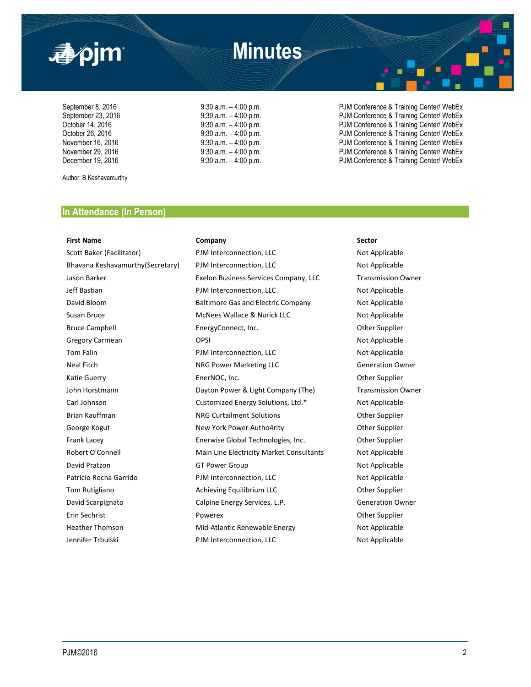

September 8, 2016 <br>September 23, 2016 **9:30 a.m.** – 4:00 p.m. **PJM Conference & Training Center/ WebEx**<br>PJM Conference & Training Center/ WebEx September 23, 2016 **9:30 a.m.** – 4:00 p.m. PJM Conference & Training Center/ WebEx October 14, 2016 **12, 2016** 9:30 a.m. – 4:00 p.m. PJM Conference & Training Center/ WebEx<br>October 26, 2016 9:30 a.m. – 4:00 p.m. PJM Conference & Training Center/ WebEx October 26, 2016 9:30 a.m. – 4:00 p.m. PJM Conference & Training Center/ WebEx November 16, 2016 **19:30 a.m.** – 4:00 p.m. **PJM Conference & Training Center/ WebEx**<br>November 29, 2016 **19:30 a.m.** – 4:00 p.m. PJM Conference & Training Center/ WebEx December 19, 2016 **19:30 a.m.** – 4:00 p.m. **PJM Conference & Training Center/ WebEx** 

Author: B.Keshavamurthy

## **In Attendance (In Person)**

### **First Name Company Sector**

Scott Baker (Facilitator) **PJM** Interconnection, LLC Not Applicable Bhavana Keshavamurthy(Secretary) PJM Interconnection, LLC Not Applicable Jason Barker Exelon Business Services Company, LLC Transmission Owner Jeff Bastian **PJM Interconnection, LLC** Not Applicable David Bloom Baltimore Gas and Electric Company Not Applicable Susan Bruce **McNees Wallace & Nurick LLC** Not Applicable Bruce Campbell **EnergyConnect, Inc.** Champion Cher Supplier Gregory Carmean **COPSI** OPSI **COPSI COPSI COPSI COPSI COPSI COPSI COPSI COPSI COPSI COPSI COPSI COPSI COPSI COPSI COPSI COPSI COPSI COPSI COPSI COPSI COPSI COPSI COPSI COPSI** Tom Falin **PJM Interconnection, LLC** Not Applicable Neal Fitch **NRG Power Marketing LLC** Generation Owner Katie Guerry EnerNOC, Inc. Other Supplier John Horstmann **Dayton Power & Light Company (The)** Transmission Owner Carl Johnson Customized Energy Solutions, Ltd.\* Not Applicable Brian Kauffman **NRG Curtailment Solutions** Other Supplier George Kogut **New York Power Autho4rity** Cher Supplier Frank Lacey **Enerwise Global Technologies, Inc.** Other Supplier Robert O'Connell **Main Line Electricity Market Consultants** Mot Applicable David Pratzon **COLOGY CONSUMED CONSUMED ASSESS** OF Power Group **Not Applicable** Patricio Rocha Garrido **PJM Interconnection, LLC** Not Applicable Tom Rutigliano **Achieving Equilibrium LLC** Cher Supplier David Scarpignato Calpine Energy Services, L.P. Generation Owner Erin Sechrist Powerex Other Supplier Heather Thomson **Mid-Atlantic Renewable Energy** Not Applicable Jennifer Trbulski PJM Interconnection, LLC Not Applicable

PJM Conference & Training Center/ WebEx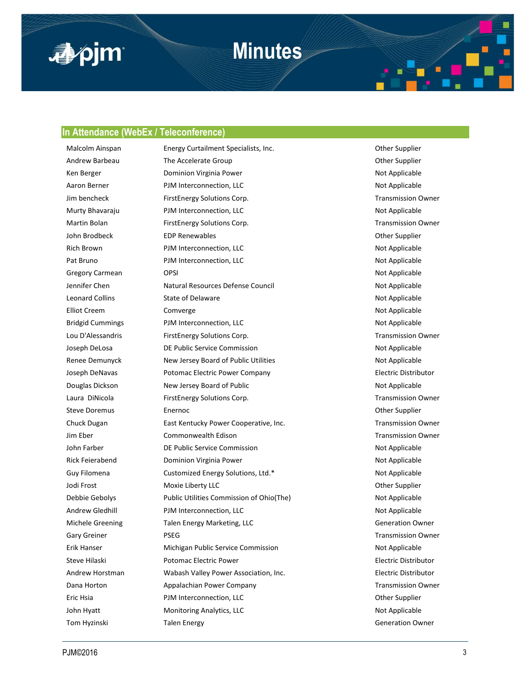

## **Minutes**

### **In Attendance (WebEx / Teleconference)**

Malcolm Ainspan **Energy Curtailment Specialists, Inc.** The Communication of the Supplier Andrew Barbeau The Accelerate Group Communication of the Supplier Communication of the Supplier Ken Berger **Not Applicable** Dominion Virginia Power Not Applicable Not Applicable Aaron Berner **PJM Interconnection, LLC** Not Applicable Jim bencheck FirstEnergy Solutions Corp. Transmission Owner Murty Bhavaraju **PJM Interconnection, LLC** Not Applicable Martin Bolan FirstEnergy Solutions Corp. The Content of Transmission Owner John Brodbeck **EDP Renewables** EDP **Renewables EDP Renewables EDP Renewables EDP Renewables** Rich Brown **PJM Interconnection, LLC** Not Applicable Not Applicable Pat Bruno **PJM Interconnection, LLC** Not Applicable Gregory Carmean **OPSI** OPSI 2009 **CONSIDER ACCOMPANY** OPSI Jennifer Chen **Natural Resources Defense Council** Not Applicable Leonard Collins **State of Delaware** Not Applicable Not Applicable Elliot Creem Comverge Comverge Computer Computer Computer Computer Computer Computer Computer Computer Computer Computer Computer Computer Computer Computer Computer Computer Computer Computer Computer Computer Computer Co Bridgid Cummings **PJM Interconnection, LLC** Not Applicable Lou D'Alessandris FirstEnergy Solutions Corp. Transmission Owner Joseph DeLosa **DE Public Service Commission** Not Applicable Renee Demunyck New Jersey Board of Public Utilities Not Applicable Joseph DeNavas Potomac Electric Power Company Electric Distributor Douglas Dickson New Jersey Board of Public Not Applicable Not Applicable Laura DiNicola **FirstEnergy Solutions Corp.** Transmission Owner Steve Doremus **Enernoc** Enernoc **Energies** Enernoc **Other Supplier Other Supplier** Chuck Dugan **East Kentucky Power Cooperative, Inc.** The East Mean Transmission Owner Jim Eber Commonwealth Edison Transmission Owner John Farber **DE Public Service Commission** Not Applicable Rick Feierabend **Dominion Virginia Power** Not Applicable Not Applicable Guy Filomena **Customized Energy Solutions, Ltd.\*** Not Applicable Jodi Frost Moxie Liberty LLC Other Supplier Debbie Gebolys **Public Utilities Commission of Ohio(The)** Not Applicable Andrew Gledhill **PJM** Interconnection, LLC **Not Applicable** Not Applicable Michele Greening Talen Energy Marketing, LLC CHANNEL COMMENT Generation Owner Gary Greiner **PSEG** Transmission Owner Erik Hanser **Michigan Public Service Commission** Not Applicable Steve Hilaski Potomac Electric Power Electric Distributor Andrew Horstman Wabash Valley Power Association, Inc. Electric Distributor Dana Horton **Appalachian Power Company Company** Transmission Owner Eric Hsia PJM Interconnection, LLC Other Supplier John Hyatt **Monitoring Analytics, LLC** Not Applicable Not Applicable Tom Hyzinski Karl Talen Energy Charles and Talen Energy Charles and Talen Energy Charles Talen Burguet Charles Generation Owner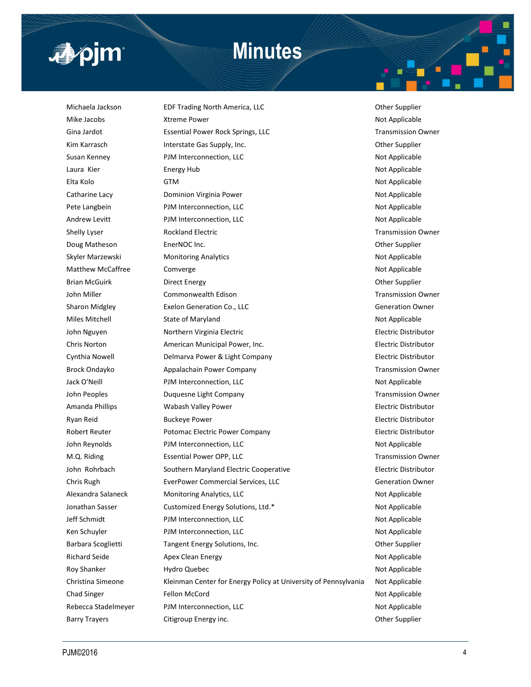

## **Minutes**

Michaela Jackson **EDF Trading North America, LLC Example 20 Server Supplier** Other Supplier Mike Jacobs **Xtreme Power** Not Applicable Not Applicable Gina Jardot **Essential Power Rock Springs, LLC** Transmission Owner Kim Karrasch **Interstate Gas Supply, Inc.** Case Communication of the Supplier Communication of the Supplier Susan Kenney **PJM Interconnection, LLC** Not Applicable Not Applicable Laura Kier **Energy Hub** Energy Hub **Not Applicable** Not Applicable Elta Kolo GTM Not Applicable Catharine Lacy **Dominion Virginia Power** Not Applicable Not Applicable Pete Langbein **PJM Interconnection, LLC** Not Applicable Andrew Levitt **PJM Interconnection, LLC** Not Applicable Shelly Lyser **Rockland Electric Rockland Electric Rockland Electric Rockland Electric Rockland Electric Rockland Electric Rockland Electric Rockland Electric Rockland Electric Rockland Electric Rockland** Doug Matheson **EnerNOC Inc.** EnerGENER EnerGENER CONDUCTER ENGINEERING COMPLETE POSTS. Skyler Marzewski Monitoring Analytics Not Applicable Not Applicable Matthew McCaffree Comverge Comverge Computer Communication of Applicable Not Applicable Brian McGuirk Direct Energy Other Supplier John Miller Commonwealth Edison Transmission Owner Sharon Midgley Exelon Generation Co., LLC Generation Owner Miles Mitchell State of Maryland Not Applicable Not Applicable John Nguyen **Northern Virginia Electric Northern Virginia Electric Northern Accord Electric Distributor** Chris Norton American Municipal Power, Inc. Electric Distributor Cynthia Nowell **Delmarva Power & Light Company Electric Distributor** Electric Distributor Brock Ondayko **Appalachain Power Company Transmission Owner** Company Transmission Owner Jack O'Neill **PJM Interconnection, LLC** and the power of Applicable Not Applicable John Peoples **Duquesne Light Company Transmission Owner Transmission Owner** Amanda Phillips **Mathemory Wabash Valley Power Electric Distributor** Electric Distributor Ryan Reid **Buckeye Power Buckeye Power Electric Distributor Electric Distributor** Robert Reuter **Potomac Electric Power Company Electric Power Company Electric Distributor** John Reynolds **PJM Interconnection, LLC** Not Applicable M.Q. Riding **Essential Power OPP, LLC Example 2008 Example 2018 Example 2018 Example 2018 EXAMPLE 2018 EXAMPLE 2018 EXAMPLE 2018 EXAMPLE 2018 EXAMPLE 2018 EXAMPLE 2018 EXAMPLE 2018 EXAMPLE 2018 EX** John Rohrbach Southern Maryland Electric Cooperative Electric Distributor Chris Rugh EverPower Commercial Services, LLC Generation Owner Alexandra Salaneck Monitoring Analytics, LLC Not Applicable Not Applicable Jonathan Sasser **Customized Energy Solutions, Ltd.\*** Not Applicable Jeff Schmidt **PJM Interconnection, LLC** Not Applicable Ken Schuyler **Not Applicable** PJM Interconnection, LLC Not Applicable Not Applicable Barbara Scoglietti **Tangent Energy Solutions, Inc.** Communist Communist Communist Communist Communist Communist C Richard Seide **Apex Clean Energy Not Applicable** Not Applicable Roy Shanker **Hydro Quebec Not Applicable** Not Applicable Christina Simeone Kleinman Center for Energy Policy at University of Pennsylvania Not Applicable Chad Singer **Fellon McCord Chad Singer Research Accord McCord McCord Not Applicable** Rebecca Stadelmeyer **PJM Interconnection, LLC** Not Applicable Barry Trayers **Citigroup Energy inc.** Can be a set of the Supplier of the Supplier